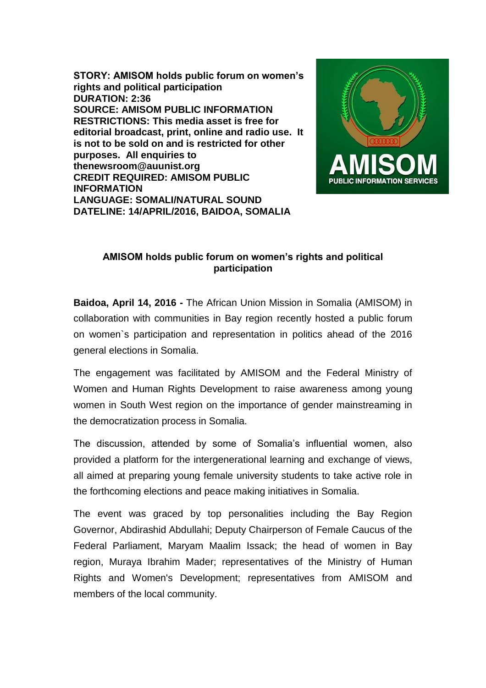**STORY: AMISOM holds public forum on women's rights and political participation DURATION: 2:36 SOURCE: AMISOM PUBLIC INFORMATION RESTRICTIONS: This media asset is free for editorial broadcast, print, online and radio use. It is not to be sold on and is restricted for other purposes. All enquiries to thenewsroom@auunist.org CREDIT REQUIRED: AMISOM PUBLIC INFORMATION LANGUAGE: SOMALI/NATURAL SOUND DATELINE: 14/APRIL/2016, BAIDOA, SOMALIA**



## **AMISOM holds public forum on women's rights and political participation**

**Baidoa, April 14, 2016 -** The African Union Mission in Somalia (AMISOM) in collaboration with communities in Bay region recently hosted a public forum on women`s participation and representation in politics ahead of the 2016 general elections in Somalia.

The engagement was facilitated by AMISOM and the Federal Ministry of Women and Human Rights Development to raise awareness among young women in South West region on the importance of gender mainstreaming in the democratization process in Somalia.

The discussion, attended by some of Somalia's influential women, also provided a platform for the intergenerational learning and exchange of views, all aimed at preparing young female university students to take active role in the forthcoming elections and peace making initiatives in Somalia.

The event was graced by top personalities including the Bay Region Governor, Abdirashid Abdullahi; Deputy Chairperson of Female Caucus of the Federal Parliament, Maryam Maalim Issack; the head of women in Bay region, Muraya Ibrahim Mader; representatives of the Ministry of Human Rights and Women's Development; representatives from AMISOM and members of the local community.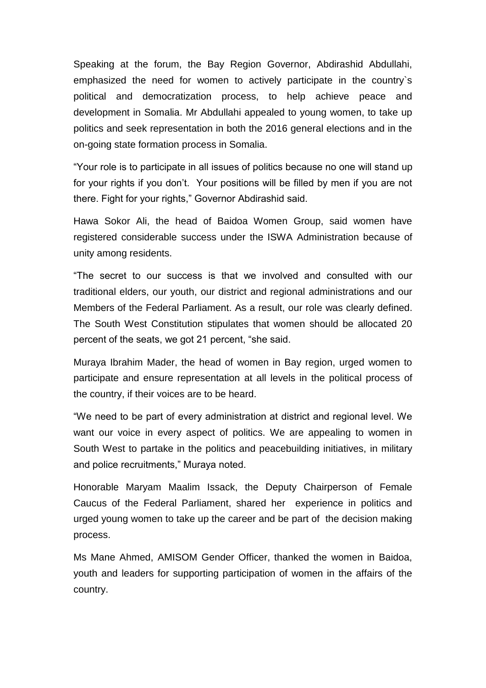Speaking at the forum, the Bay Region Governor, Abdirashid Abdullahi, emphasized the need for women to actively participate in the country`s political and democratization process, to help achieve peace and development in Somalia. Mr Abdullahi appealed to young women, to take up politics and seek representation in both the 2016 general elections and in the on-going state formation process in Somalia.

"Your role is to participate in all issues of politics because no one will stand up for your rights if you don't. Your positions will be filled by men if you are not there. Fight for your rights," Governor Abdirashid said.

Hawa Sokor Ali, the head of Baidoa Women Group, said women have registered considerable success under the ISWA Administration because of unity among residents.

"The secret to our success is that we involved and consulted with our traditional elders, our youth, our district and regional administrations and our Members of the Federal Parliament. As a result, our role was clearly defined. The South West Constitution stipulates that women should be allocated 20 percent of the seats, we got 21 percent, "she said.

Muraya Ibrahim Mader, the head of women in Bay region, urged women to participate and ensure representation at all levels in the political process of the country, if their voices are to be heard.

"We need to be part of every administration at district and regional level. We want our voice in every aspect of politics. We are appealing to women in South West to partake in the politics and peacebuilding initiatives, in military and police recruitments," Muraya noted.

Honorable Maryam Maalim Issack, the Deputy Chairperson of Female Caucus of the Federal Parliament, shared her experience in politics and urged young women to take up the career and be part of the decision making process.

Ms Mane Ahmed, AMISOM Gender Officer, thanked the women in Baidoa, youth and leaders for supporting participation of women in the affairs of the country.